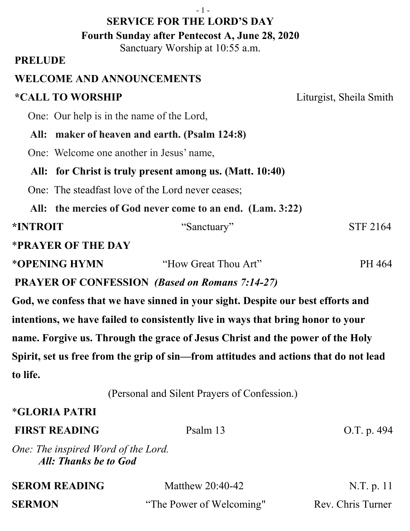Sanctuary Worship at 10:55 a.m.

### **PRELUDE**

## **WELCOME AND ANNOUNCEMENTS**

# **\*CALL TO WORSHIP** Liturgist, Sheila Smith

One: Our help is in the name of the Lord,

 **All: maker of heaven and earth. (Psalm 124:8)**

One: Welcome one another in Jesus' name,

### **All: for Christ is truly present among us. (Matt. 10:40)**

One: The steadfast love of the Lord never ceases;

 **All: the mercies of God never come to an end. (Lam. 3:22)**

#### **\*INTROIT** "Sanctuary" STF 2164

\***PRAYER OF THE DAY** 

| *OPENING HYMN | "How Great Thou Art" | PH 464 |
|---------------|----------------------|--------|
|               |                      |        |

**PRAYER OF CONFESSION** *(Based on Romans 7:14-27)*

**God, we confess that we have sinned in your sight. Despite our best efforts and intentions, we have failed to consistently live in ways that bring honor to your name. Forgive us. Through the grace of Jesus Christ and the power of the Holy Spirit, set us free from the grip of sin—from attitudes and actions that do not lead to life.**

(Personal and Silent Prayers of Confession.)

## \***GLORIA PATRI**

| <b>FIRST READING</b>                                         | Psalm 13           | O.T. p. $494$ |
|--------------------------------------------------------------|--------------------|---------------|
| One: The inspired Word of the Lord.<br>All: Thanks be to God |                    |               |
| <b>SEROM READING</b>                                         | Matthew $20:40-42$ | N.T. p. 11    |

**SERMON** "The Power of Welcoming" Rev. Chris Turner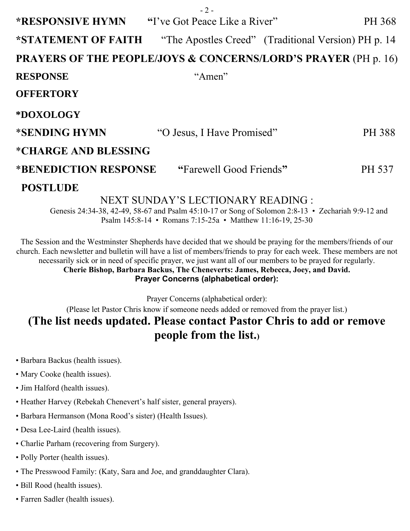|                                                                           | $-2-$                      |                                                     |  |  |
|---------------------------------------------------------------------------|----------------------------|-----------------------------------------------------|--|--|
| <b>*RESPONSIVE HYMN</b> "I've Got Peace Like a River"                     |                            | PH 368                                              |  |  |
| *STATEMENT OF FAITH                                                       |                            | "The Apostles Creed" (Traditional Version) PH p. 14 |  |  |
| <b>PRAYERS OF THE PEOPLE/JOYS &amp; CONCERNS/LORD'S PRAYER (PH p. 16)</b> |                            |                                                     |  |  |
| <b>RESPONSE</b>                                                           | "Amen"                     |                                                     |  |  |
| <b>OFFERTORY</b>                                                          |                            |                                                     |  |  |
| *DOXOLOGY                                                                 |                            |                                                     |  |  |
| *SENDING HYMN                                                             | "O Jesus, I Have Promised" | <b>PH 388</b>                                       |  |  |
| <i><b>*CHARGE AND BLESSING</b></i>                                        |                            |                                                     |  |  |
| *BENEDICTION RESPONSE                                                     | "Farewell Good Friends"    | <b>PH 537</b>                                       |  |  |
| <b>POSTLUDE</b>                                                           |                            |                                                     |  |  |
| NEXT SUNDAY'S LECTIONARY READING :                                        |                            |                                                     |  |  |

Genesis 24:34-38, 42-49, 58-67 and Psalm 45:10-17 or Song of Solomon 2:8-13 • Zechariah 9:9-12 and Psalm 145:8-14 • Romans 7:15-25a • Matthew 11:16-19, 25-30

The Session and the Westminster Shepherds have decided that we should be praying for the members/friends of our church. Each newsletter and bulletin will have a list of members/friends to pray for each week. These members are not necessarily sick or in need of specific prayer, we just want all of our members to be prayed for regularly. **Cherie Bishop, Barbara Backus, The Cheneverts: James, Rebecca, Joey, and David.**

**Prayer Concerns (alphabetical order):**

Prayer Concerns (alphabetical order):

(Please let Pastor Chris know if someone needs added or removed from the prayer list.)

## **(The list needs updated. Please contact Pastor Chris to add or remove people from the list.)**

- Barbara Backus (health issues).
- Mary Cooke (health issues).
- Jim Halford (health issues).
- Heather Harvey (Rebekah Chenevert's half sister, general prayers).
- Barbara Hermanson (Mona Rood's sister) (Health Issues).
- Desa Lee-Laird (health issues).
- Charlie Parham (recovering from Surgery).
- Polly Porter (health issues).
- The Presswood Family: (Katy, Sara and Joe, and granddaughter Clara).
- Bill Rood (health issues).
- Farren Sadler (health issues).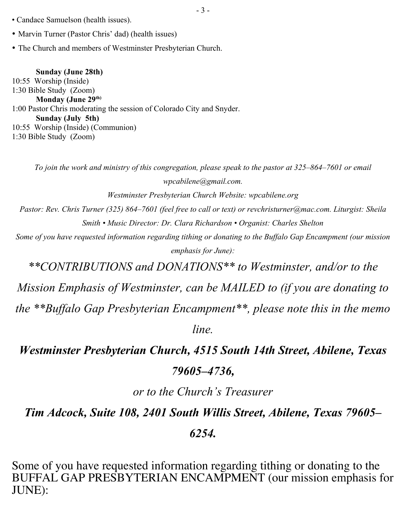- Candace Samuelson (health issues).
- Marvin Turner (Pastor Chris' dad) (health issues)
- The Church and members of Westminster Presbyterian Church.

#### **Sunday (June 28th)**

10:55 Worship (Inside) 1:30 Bible Study (Zoom) **Monday (June 29th)**  1:00 Pastor Chris moderating the session of Colorado City and Snyder. **Sunday (July 5th)** 10:55 Worship (Inside) (Communion) 1:30 Bible Study (Zoom)

*To join the work and ministry of this congregation, please speak to the pastor at 325–864–7601 or email wpcabilene@gmail.com.* 

*Westminster Presbyterian Church Website: wpcabilene.org* 

*Pastor: Rev. Chris Turner (325) 864–7601 (feel free to call or text) or revchristurner@mac.com. Liturgist: Sheila Smith • Music Director: Dr. Clara Richardson • Organist: Charles Shelton*

*Some of you have requested information regarding tithing or donating to the Buffalo Gap Encampment (our mission emphasis for June):* 

*\*\*CONTRIBUTIONS and DONATIONS\*\* to Westminster, and/or to the*

*Mission Emphasis of Westminster, can be MAILED to (if you are donating to the \*\*Buffalo Gap Presbyterian Encampment\*\*, please note this in the memo*

*line.* 

*Westminster Presbyterian Church, 4515 South 14th Street, Abilene, Texas*

#### *79605–4736,*

*or to the Church's Treasurer*

*Tim Adcock, Suite 108, 2401 South Willis Street, Abilene, Texas 79605–*

#### *6254.*

Some of you have requested information regarding tithing or donating to the BUFFAL GAP PRESBYTERIAN ENCAMPMENT (our mission emphasis for JUNE):